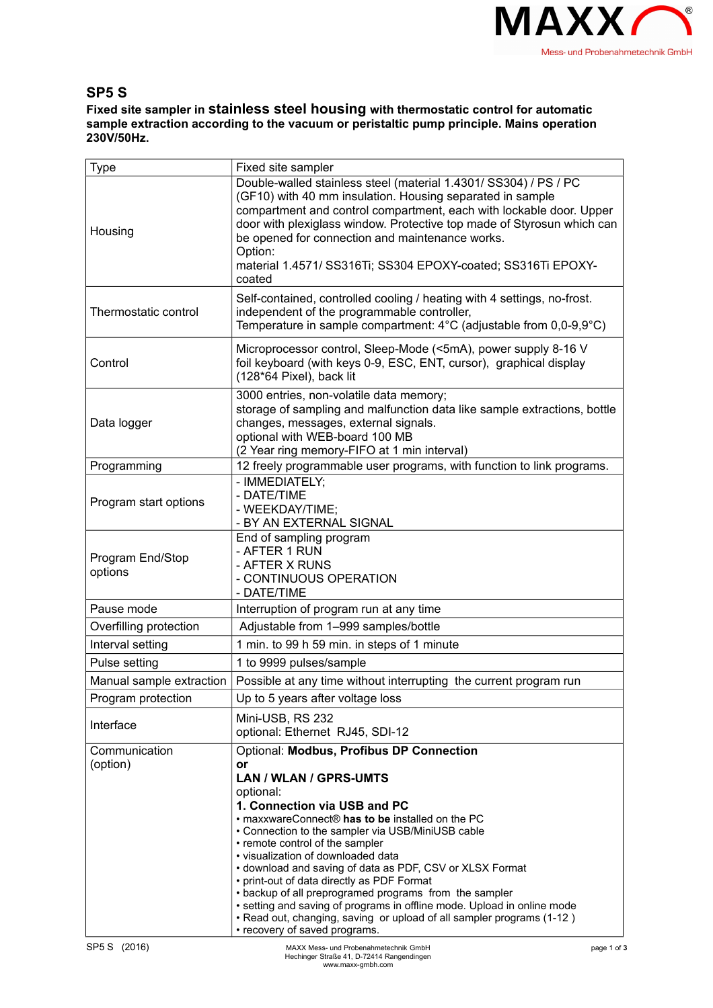

## **SP5 S**

**Fixed site sampler in stainless steel housing with thermostatic control for automatic sample extraction according to the vacuum or peristaltic pump principle. Mains operation 230V/50Hz.**

| <b>Type</b>                 | Fixed site sampler                                                                                                                                                                                                                                                                                                                                                                                                     |             |
|-----------------------------|------------------------------------------------------------------------------------------------------------------------------------------------------------------------------------------------------------------------------------------------------------------------------------------------------------------------------------------------------------------------------------------------------------------------|-------------|
| Housing                     | Double-walled stainless steel (material 1.4301/ SS304) / PS / PC<br>(GF10) with 40 mm insulation. Housing separated in sample<br>compartment and control compartment, each with lockable door. Upper<br>door with plexiglass window. Protective top made of Styrosun which can<br>be opened for connection and maintenance works.<br>Option:<br>material 1.4571/ SS316Ti; SS304 EPOXY-coated; SS316Ti EPOXY-<br>coated |             |
| Thermostatic control        | Self-contained, controlled cooling / heating with 4 settings, no-frost.<br>independent of the programmable controller,<br>Temperature in sample compartment: $4^{\circ}$ C (adjustable from 0,0-9,9 $^{\circ}$ C)                                                                                                                                                                                                      |             |
| Control                     | Microprocessor control, Sleep-Mode (<5mA), power supply 8-16 V<br>foil keyboard (with keys 0-9, ESC, ENT, cursor), graphical display<br>(128*64 Pixel), back lit                                                                                                                                                                                                                                                       |             |
| Data logger                 | 3000 entries, non-volatile data memory;<br>storage of sampling and malfunction data like sample extractions, bottle<br>changes, messages, external signals.<br>optional with WEB-board 100 MB<br>(2 Year ring memory-FIFO at 1 min interval)                                                                                                                                                                           |             |
| Programming                 | 12 freely programmable user programs, with function to link programs.                                                                                                                                                                                                                                                                                                                                                  |             |
| Program start options       | - IMMEDIATELY;<br>- DATE/TIME<br>- WEEKDAY/TIME;<br>- BY AN EXTERNAL SIGNAL                                                                                                                                                                                                                                                                                                                                            |             |
| Program End/Stop<br>options | End of sampling program<br>- AFTER 1 RUN<br>- AFTER X RUNS<br>- CONTINUOUS OPERATION<br>- DATE/TIME                                                                                                                                                                                                                                                                                                                    |             |
| Pause mode                  | Interruption of program run at any time                                                                                                                                                                                                                                                                                                                                                                                |             |
| Overfilling protection      | Adjustable from 1-999 samples/bottle                                                                                                                                                                                                                                                                                                                                                                                   |             |
| Interval setting            | 1 min. to 99 h 59 min. in steps of 1 minute                                                                                                                                                                                                                                                                                                                                                                            |             |
| Pulse setting               | 1 to 9999 pulses/sample                                                                                                                                                                                                                                                                                                                                                                                                |             |
| Manual sample extraction    | Possible at any time without interrupting the current program run                                                                                                                                                                                                                                                                                                                                                      |             |
| Program protection          | Up to 5 years after voltage loss                                                                                                                                                                                                                                                                                                                                                                                       |             |
|                             | Mini-USB, RS 232                                                                                                                                                                                                                                                                                                                                                                                                       |             |
| Interface                   | optional: Ethernet RJ45, SDI-12                                                                                                                                                                                                                                                                                                                                                                                        |             |
| Communication               | Optional: Modbus, Profibus DP Connection                                                                                                                                                                                                                                                                                                                                                                               |             |
| (option)                    | or                                                                                                                                                                                                                                                                                                                                                                                                                     |             |
|                             | LAN / WLAN / GPRS-UMTS                                                                                                                                                                                                                                                                                                                                                                                                 |             |
|                             | optional:                                                                                                                                                                                                                                                                                                                                                                                                              |             |
|                             | 1. Connection via USB and PC<br>• maxxwareConnect® has to be installed on the PC                                                                                                                                                                                                                                                                                                                                       |             |
|                             | • Connection to the sampler via USB/MiniUSB cable                                                                                                                                                                                                                                                                                                                                                                      |             |
|                             | • remote control of the sampler<br>· visualization of downloaded data                                                                                                                                                                                                                                                                                                                                                  |             |
|                             | • download and saving of data as PDF, CSV or XLSX Format                                                                                                                                                                                                                                                                                                                                                               |             |
|                             | • print-out of data directly as PDF Format                                                                                                                                                                                                                                                                                                                                                                             |             |
|                             | • backup of all preprogramed programs from the sampler<br>• setting and saving of programs in offline mode. Upload in online mode<br>. Read out, changing, saving or upload of all sampler programs (1-12)<br>• recovery of saved programs.                                                                                                                                                                            |             |
| SP5 S (2016)                | MAXX Mess- und Probenahmetechnik GmbH                                                                                                                                                                                                                                                                                                                                                                                  | page 1 of 3 |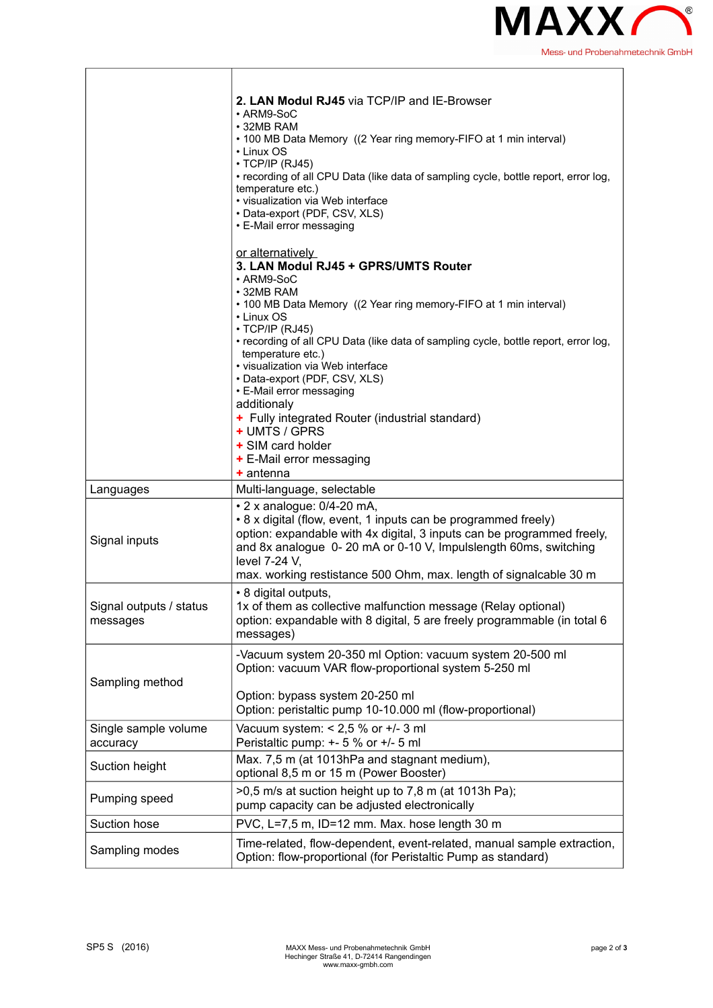

h

|                                     | 2. LAN Modul RJ45 via TCP/IP and IE-Browser<br>• ARM9-SoC<br>• 32MB RAM<br>• 100 MB Data Memory ((2 Year ring memory-FIFO at 1 min interval)<br>• Linux OS<br>$\cdot$ TCP/IP (RJ45)<br>• recording of all CPU Data (like data of sampling cycle, bottle report, error log,<br>temperature etc.)<br>• visualization via Web interface<br>• Data-export (PDF, CSV, XLS)<br>• E-Mail error messaging                                                                                                                                                                 |
|-------------------------------------|-------------------------------------------------------------------------------------------------------------------------------------------------------------------------------------------------------------------------------------------------------------------------------------------------------------------------------------------------------------------------------------------------------------------------------------------------------------------------------------------------------------------------------------------------------------------|
|                                     | or alternatively<br>3. LAN Modul RJ45 + GPRS/UMTS Router<br>• ARM9-SoC<br>• 32MB RAM<br>• 100 MB Data Memory ((2 Year ring memory-FIFO at 1 min interval)<br>• Linux OS<br>$\cdot$ TCP/IP (RJ45)<br>• recording of all CPU Data (like data of sampling cycle, bottle report, error log,<br>temperature etc.)<br>• visualization via Web interface<br>• Data-export (PDF, CSV, XLS)<br>• E-Mail error messaging<br>additionaly<br>+ Fully integrated Router (industrial standard)<br>+ UMTS / GPRS<br>+ SIM card holder<br>+ E-Mail error messaging<br>$+$ antenna |
| Languages                           | Multi-language, selectable                                                                                                                                                                                                                                                                                                                                                                                                                                                                                                                                        |
| Signal inputs                       | $\cdot$ 2 x analogue: 0/4-20 mA,<br>• 8 x digital (flow, event, 1 inputs can be programmed freely)<br>option: expandable with 4x digital, 3 inputs can be programmed freely,<br>and 8x analogue 0-20 mA or 0-10 V, Impulslength 60ms, switching<br>level 7-24 V,<br>max. working restistance 500 Ohm, max. length of signalcable 30 m                                                                                                                                                                                                                             |
| Signal outputs / status<br>messages | • 8 digital outputs,<br>1x of them as collective malfunction message (Relay optional)<br>option: expandable with 8 digital, 5 are freely programmable (in total 6<br>messages)                                                                                                                                                                                                                                                                                                                                                                                    |
| Sampling method                     | -Vacuum system 20-350 ml Option: vacuum system 20-500 ml<br>Option: vacuum VAR flow-proportional system 5-250 ml<br>Option: bypass system 20-250 ml<br>Option: peristaltic pump 10-10.000 ml (flow-proportional)                                                                                                                                                                                                                                                                                                                                                  |
| Single sample volume<br>accuracy    | Vacuum system: $< 2.5$ % or $+/- 3$ ml<br>Peristaltic pump: +- 5 % or +/- 5 ml                                                                                                                                                                                                                                                                                                                                                                                                                                                                                    |
| Suction height                      | Max. 7,5 m (at 1013hPa and stagnant medium),<br>optional 8,5 m or 15 m (Power Booster)                                                                                                                                                                                                                                                                                                                                                                                                                                                                            |
| Pumping speed                       | >0,5 m/s at suction height up to 7,8 m (at 1013h Pa);<br>pump capacity can be adjusted electronically                                                                                                                                                                                                                                                                                                                                                                                                                                                             |
| Suction hose                        | PVC, L=7,5 m, ID=12 mm. Max. hose length 30 m                                                                                                                                                                                                                                                                                                                                                                                                                                                                                                                     |
| Sampling modes                      | Time-related, flow-dependent, event-related, manual sample extraction,<br>Option: flow-proportional (for Peristaltic Pump as standard)                                                                                                                                                                                                                                                                                                                                                                                                                            |

 $\overline{1}$